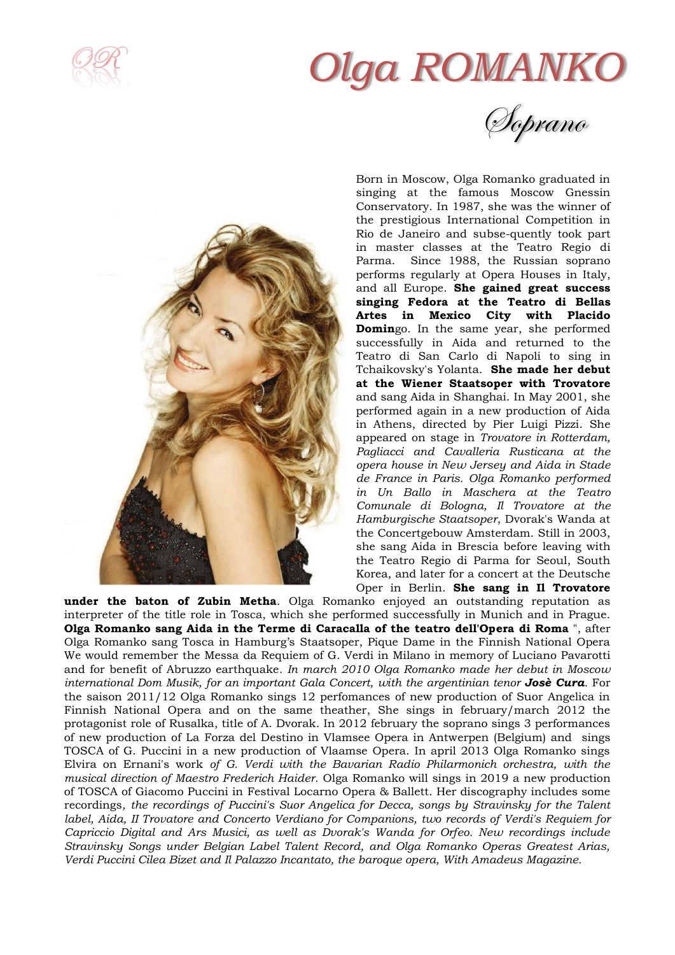

# *Olga ROMANKO*

Soprano



Born in Moscow, Olga Romanko graduated in singing at the famous Moscow Gnessin Conservatory. In 1987, she was the winner of the prestigious International Competition in Rio de Janeiro and subse-quently took part in master classes at the Teatro Regio di Parma. Since 1988, the Russian soprano performs regularly at Opera Houses in Italy, and all Europe. **She gained great success singing Fedora at the Teatro di Bellas Artes in Mexico City with Placido Domin**go. In the same year, she performed successfully in Aida and returned to the Teatro di San Carlo di Napoli to sing in Tchaikovsky's Yolanta. **She made her debut at the Wiener Staatsoper with Trovatore** and sang Aida in Shanghai. In May 2001, she performed again in a new production of Aida in Athens, directed by Pier Luigi Pizzi. She appeared on stage in *Trovatore in Rotterdam, Pagliacci and Cavalleria Rusticana at the opera house in New Jersey and Aida in Stade de France in Paris. Olga Romanko performed in Un Ballo in Maschera at the Teatro Comunale di Bologna, Il Trovatore at the Hamburgische Staatsoper*, Dvorak's Wanda at the Concertgebouw Amsterdam. Still in 2003, she sang Aida in Brescia before leaving with the Teatro Regio di Parma for Seoul, South Korea, and later for a concert at the Deutsche Oper in Berlin. **She sang in Il Trovatore**

**under the baton of Zubin Metha**. Olga Romanko enjoyed an outstanding reputation as interpreter of the title role in Tosca, which she performed successfully in Munich and in Prague. **Olga Romanko sang Aida in the Terme di Caracalla of the teatro dell'Opera di Roma** ", after Olga Romanko sang Tosca in Hamburg's Staatsoper, Pique Dame in the Finnish National Opera We would remember the Messa da Requiem of G. Verdi in Milano in memory of Luciano Pavarotti and for benefit of Abruzzo earthquake*. In march 2010 Olga Romanko made her debut in Moscow international Dom Musik, for an important Gala Concert, with the argentinian tenor Josè Cura.* For the saison 2011/12 Olga Romanko sings 12 perfomances of new production of Suor Angelica in Finnish National Opera and on the same theather, She sings in february/march 2012 the protagonist role of Rusalka, title of A. Dvorak. In 2012 february the soprano sings 3 performances of new production of La Forza del Destino in Vlamsee Opera in Antwerpen (Belgium) and sings TOSCA of G. Puccini in a new production of Vlaamse Opera. In april 2013 Olga Romanko sings Elvira on Ernani's work *of G. Verdi with the Bavarian Radio Philarmonich orchestra, with the musical direction of Maestro Frederich Haider.* Olga Romanko will sings in 2019 a new production of TOSCA of Giacomo Puccini in Festival Locarno Opera & Ballett. Her discography includes some recordings*, the recordings of Puccini's Suor Angelica for Decca, songs by Stravinsky for the Talent label, Aida, II Trovatore and Concerto Verdiano for Companions, two records of Verdi's Requiem for Capriccio Digital and Ars Musici, as well as Dvorak's Wanda for Orfeo. New recordings include Stravinsky Songs under Belgian Label Talent Record, and Olga Romanko Operas Greatest Arias, Verdi Puccini Cilea Bizet and Il Palazzo Incantato, the baroque opera, With Amadeus Magazine.*